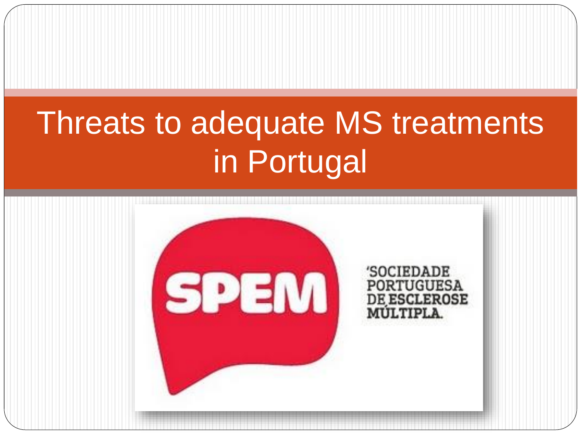# Threats to adequate MS treatments in Portugal

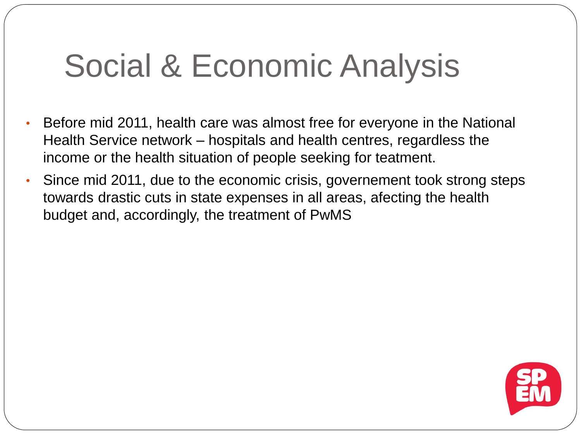### Social & Economic Analysis

- Before mid 2011, health care was almost free for everyone in the National Health Service network – hospitals and health centres, regardless the income or the health situation of people seeking for teatment.
- Since mid 2011, due to the economic crisis, governement took strong steps towards drastic cuts in state expenses in all areas, afecting the health budget and, accordingly, the treatment of PwMS

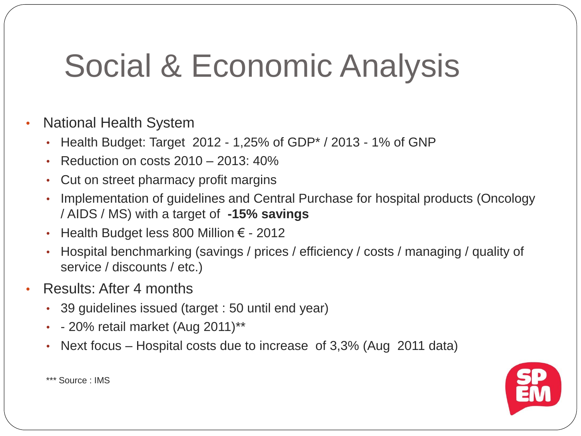# Social & Economic Analysis

- National Health System
	- Health Budget: Target 2012 1,25% of GDP $*$  / 2013 1% of GNP
	- Reduction on costs 2010 2013: 40%
	- Cut on street pharmacy profit margins
	- Implementation of guidelines and Central Purchase for hospital products (Oncology / AIDS / MS) with a target of **-15% savings**
	- Health Budget less 800 Million  $€ 2012$
	- Hospital benchmarking (savings / prices / efficiency / costs / managing / quality of service / discounts / etc.)
- Results: After 4 months
	- 39 guidelines issued (target : 50 until end year)
	- $\cdot$  20% retail market (Aug 2011)\*\*
	- Next focus Hospital costs due to increase of 3,3% (Aug 2011 data)



\*\*\* Source : IMS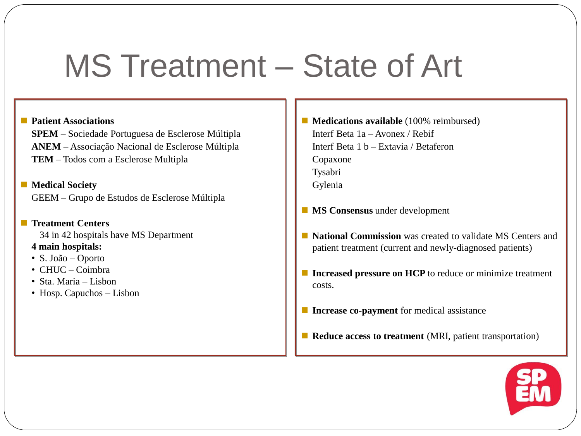### MS Treatment – State of Art

#### **Patient Associations**

**SPEM** – Sociedade Portuguesa de Esclerose Múltipla **ANEM** – Associação Nacional de Esclerose Múltipla **TEM** – Todos com a Esclerose Multipla

■ Medical Society GEEM – Grupo de Estudos de Esclerose Múltipla

**Treatment Centers** 34 in 42 hospitals have MS Department

**4 main hospitals:**

- S. João Oporto
- CHUC Coimbra
- Sta. Maria Lisbon
- Hosp. Capuchos Lisbon
- **Medications available** (100% reimbursed) Interf Beta 1a – Avonex / Rebif Interf Beta 1 b – Extavia / Betaferon Copaxone Tysabri Gylenia
- **MS Consensus** under development
- **National Commission** was created to validate MS Centers and patient treatment (current and newly-diagnosed patients)
- **Increased pressure on HCP** to reduce or minimize treatment costs.
- **Increase co-payment** for medical assistance
- **Reduce access to treatment** (MRI, patient transportation)

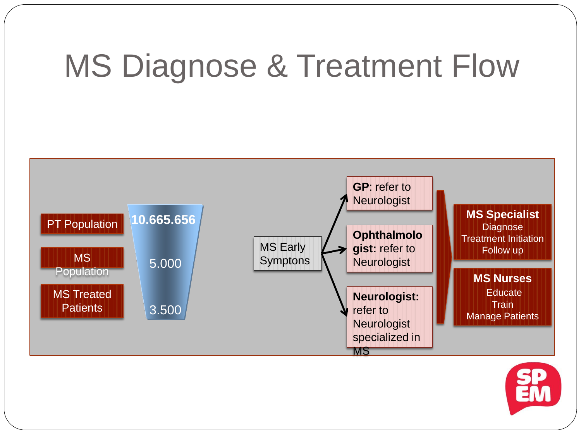# MS Diagnose & Treatment Flow



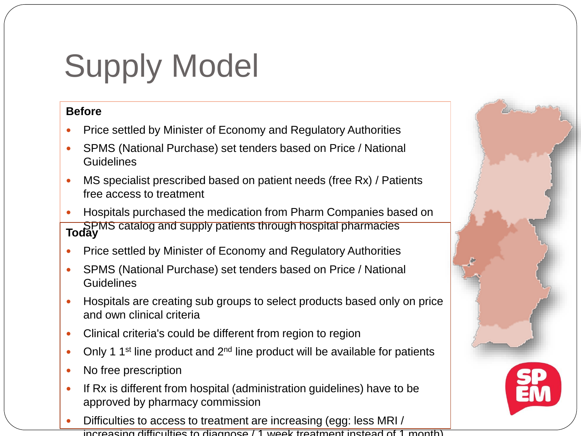# Supply Model

### **Before**

- Price settled by Minister of Economy and Regulatory Authorities
- SPMS (National Purchase) set tenders based on Price / National **Guidelines**
- MS specialist prescribed based on patient needs (free Rx) / Patients free access to treatment
- Hospitals purchased the medication from Pharm Companies based on SPMS catalog and supply patients through hospital pharmacies **Today**
- Price settled by Minister of Economy and Regulatory Authorities
- SPMS (National Purchase) set tenders based on Price / National **Guidelines**
- Hospitals are creating sub groups to select products based only on price and own clinical criteria
- Clinical criteria's could be different from region to region
- Only 1 1<sup>st</sup> line product and  $2<sup>nd</sup>$  line product will be available for patients
- No free prescription
- If Rx is different from hospital (administration guidelines) have to be approved by pharmacy commission
- Difficulties to access to treatment are increasing (egg: less MRI / increasing difficulties to diagnose / 1 week treatment instead of 1 month)